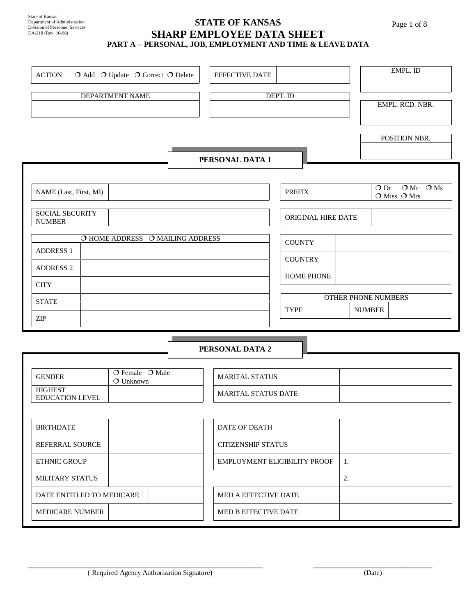## State of Kansas Department of Administration Division of Personnel Services DA-218 (Rev. 10-98)

#### **STATE OF KANSAS SHARP EMPLOYEE DATA SHEET PART A – PERSONAL, JOB, EMPLOYMENT AND TIME & LEAVE DATA**

| <b>ACTION</b>                            |                           |                                       | O Add O Update O Correct O Delete | EFFECTIVE DATE               |                    |    | EMPL. ID                                   |
|------------------------------------------|---------------------------|---------------------------------------|-----------------------------------|------------------------------|--------------------|----|--------------------------------------------|
|                                          |                           |                                       |                                   |                              |                    |    |                                            |
|                                          |                           | DEPARTMENT NAME                       |                                   |                              | DEPT. ID           |    | EMPL. RCD. NBR.                            |
|                                          |                           |                                       |                                   |                              |                    |    |                                            |
|                                          |                           |                                       |                                   |                              |                    |    |                                            |
|                                          |                           |                                       |                                   |                              |                    |    | POSITION NBR.                              |
|                                          |                           |                                       |                                   | PERSONAL DATA 1              |                    |    |                                            |
|                                          |                           |                                       |                                   |                              |                    |    |                                            |
|                                          | NAME (Last, First, MI)    |                                       |                                   |                              | <b>PREFIX</b>      |    | $OMr$ OMs<br>$\bigcirc$ Dr<br>O Miss O Mrs |
| <b>SOCIAL SECURITY</b><br><b>NUMBER</b>  |                           |                                       |                                   |                              | ORIGINAL HIRE DATE |    |                                            |
|                                          |                           |                                       | O HOME ADDRESS O MAILING ADDRESS  |                              | <b>COUNTY</b>      |    |                                            |
| <b>ADDRESS 1</b>                         |                           |                                       |                                   |                              | <b>COUNTRY</b>     |    |                                            |
| <b>ADDRESS 2</b>                         |                           |                                       |                                   |                              | <b>HOME PHONE</b>  |    |                                            |
| <b>CITY</b>                              |                           |                                       |                                   |                              |                    |    |                                            |
| <b>STATE</b>                             |                           |                                       |                                   |                              |                    |    | OTHER PHONE NUMBERS                        |
| $\ensuremath{\mathrm{ZIP}}$              |                           |                                       |                                   |                              | <b>TYPE</b>        |    | <b>NUMBER</b>                              |
|                                          |                           |                                       |                                   |                              |                    |    |                                            |
|                                          |                           |                                       |                                   | PERSONAL DATA 2              |                    |    |                                            |
|                                          |                           |                                       |                                   |                              |                    |    |                                            |
| <b>GENDER</b>                            |                           | O Female O Male<br>$\bigcirc$ Unknown |                                   | <b>MARITAL STATUS</b>        |                    |    |                                            |
| <b>HIGHEST</b><br><b>EDUCATION LEVEL</b> |                           |                                       |                                   | <b>MARITAL STATUS DATE</b>   |                    |    |                                            |
|                                          |                           |                                       |                                   |                              |                    |    |                                            |
| <b>BIRTHDATE</b>                         |                           |                                       |                                   | DATE OF DEATH                |                    |    |                                            |
| REFERRAL SOURCE                          |                           |                                       |                                   | <b>CITIZENSHIP STATUS</b>    |                    |    |                                            |
| <b>ETHNIC GROUP</b>                      |                           |                                       |                                   | EMPLOYMENT ELIGIBILITY PROOF |                    | 1. |                                            |
| MILITARY STATUS                          |                           |                                       |                                   |                              |                    | 2. |                                            |
|                                          | DATE ENTITLED TO MEDICARE |                                       |                                   | MED A EFFECTIVE DATE         |                    |    |                                            |

\_\_\_\_\_\_\_\_\_\_\_\_\_\_\_\_\_\_\_\_\_\_\_\_\_\_\_\_\_\_\_\_\_\_\_\_\_\_\_\_\_\_\_\_\_\_\_\_\_\_\_\_\_\_\_\_\_\_\_\_\_\_\_\_\_\_\_ \_\_\_\_\_\_\_\_\_\_\_\_\_\_\_\_\_\_\_\_\_\_\_\_\_\_\_\_\_\_\_\_\_\_

MEDICARE NUMBER MEDICARE NUMBER

Page 1 of 8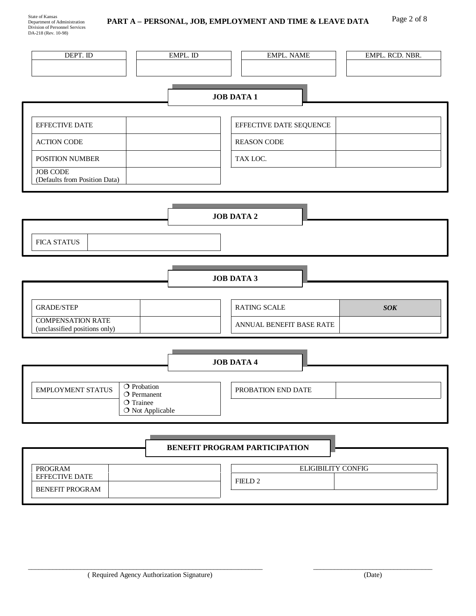| DEPT. ID                                         | EMPL. ID                          | <b>EMPL. NAME</b>             | EMPL. RCD. NBR. |
|--------------------------------------------------|-----------------------------------|-------------------------------|-----------------|
|                                                  |                                   |                               |                 |
|                                                  |                                   | <b>JOB DATA 1</b>             |                 |
| <b>EFFECTIVE DATE</b>                            |                                   | EFFECTIVE DATE SEQUENCE       |                 |
| <b>ACTION CODE</b>                               |                                   | <b>REASON CODE</b>            |                 |
| POSITION NUMBER                                  |                                   | TAX LOC.                      |                 |
| <b>JOB CODE</b><br>(Defaults from Position Data) |                                   |                               |                 |
|                                                  |                                   |                               |                 |
|                                                  |                                   | <b>JOB DATA 2</b>             |                 |
|                                                  |                                   |                               |                 |
| <b>FICA STATUS</b>                               |                                   |                               |                 |
|                                                  |                                   |                               |                 |
|                                                  |                                   | <b>JOB DATA 3</b>             |                 |
| <b>GRADE/STEP</b>                                |                                   | <b>RATING SCALE</b>           | <b>SOK</b>      |
| <b>COMPENSATION RATE</b>                         |                                   | ANNUAL BENEFIT BASE RATE      |                 |
| (unclassified positions only)                    |                                   |                               |                 |
|                                                  |                                   |                               |                 |
|                                                  |                                   |                               |                 |
|                                                  |                                   | <b>JOB DATA 4</b>             |                 |
| $\circ$ Probation<br><b>EMPLOYMENT STATUS</b>    |                                   | PROBATION END DATE            |                 |
| O Trainee                                        | $O$ Permanent<br>O Not Applicable |                               |                 |
|                                                  |                                   |                               |                 |
|                                                  |                                   | BENEFIT PROGRAM PARTICIPATION |                 |
| <b>PROGRAM</b><br>EFFECTIVE DATE                 |                                   | <b>ELIGIBILITY CONFIG</b>     |                 |

\_\_\_\_\_\_\_\_\_\_\_\_\_\_\_\_\_\_\_\_\_\_\_\_\_\_\_\_\_\_\_\_\_\_\_\_\_\_\_\_\_\_\_\_\_\_\_\_\_\_\_\_\_\_\_\_\_\_\_\_\_\_\_\_\_\_\_ \_\_\_\_\_\_\_\_\_\_\_\_\_\_\_\_\_\_\_\_\_\_\_\_\_\_\_\_\_\_\_\_\_\_

 $\overline{\phantom{a}}$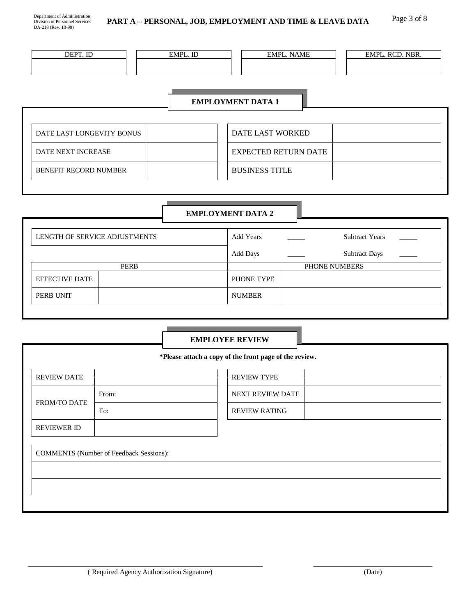| DEPT. ID                 | EMPL. ID | <b>EMPL. NAME</b> | EMPL. RCD. NBR. |  |  |  |
|--------------------------|----------|-------------------|-----------------|--|--|--|
|                          |          |                   |                 |  |  |  |
| <b>EMPLOYMENT DATA 1</b> |          |                   |                 |  |  |  |

| DATE LAST LONGEVITY BONUS | DATE LAST WORKED      |
|---------------------------|-----------------------|
| DATE NEXT INCREASE        | EXPECTED RETURN DATE  |
| BENEFIT RECORD NUMBER     | <b>BUSINESS TITLE</b> |
|                           |                       |

## **EMPLOYMENT DATA 2**

| LENGTH OF SERVICE ADJUSTMENTS | Add Years |                 | <b>Subtract Years</b> | $\sim$               |  |
|-------------------------------|-----------|-----------------|-----------------------|----------------------|--|
|                               |           | <b>Add Days</b> |                       | <b>Subtract Days</b> |  |
|                               | PERB      |                 | PHONE NUMBERS         |                      |  |
| <b>EFFECTIVE DATE</b>         |           | PHONE TYPE      |                       |                      |  |
| PERB UNIT                     |           | <b>NUMBER</b>   |                       |                      |  |

## **EMPLOYEE REVIEW**

|                    |                                                | *Please attach a copy of the front page of the review. |                  |  |
|--------------------|------------------------------------------------|--------------------------------------------------------|------------------|--|
| <b>REVIEW DATE</b> |                                                | <b>REVIEW TYPE</b>                                     |                  |  |
|                    | From:                                          |                                                        | NEXT REVIEW DATE |  |
| FROM/TO DATE       | To:                                            | <b>REVIEW RATING</b>                                   |                  |  |
| <b>REVIEWER ID</b> |                                                |                                                        |                  |  |
|                    | <b>COMMENTS</b> (Number of Feedback Sessions): |                                                        |                  |  |
|                    |                                                |                                                        |                  |  |
|                    |                                                |                                                        |                  |  |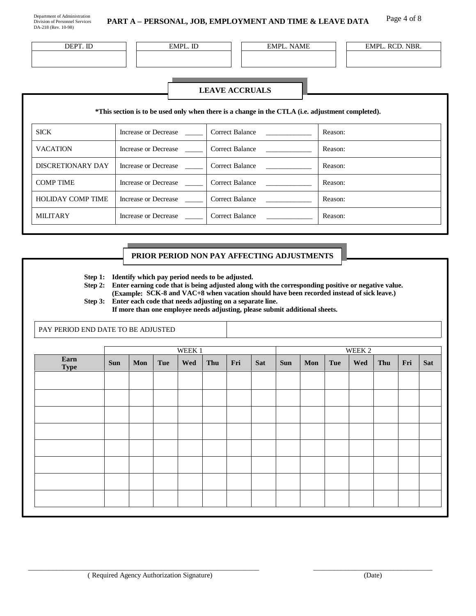DEPT. ID EMPL. ID EMPL. ID EMPL. NAME EMPL. RCD. NBR.

#### **LEAVE ACCRUALS**

|                          |                      | *This section is to be used only when there is a change in the CTLA (i.e. adjustment completed). |         |
|--------------------------|----------------------|--------------------------------------------------------------------------------------------------|---------|
| <b>SICK</b>              | Increase or Decrease | Correct Balance                                                                                  | Reason: |
| <b>VACATION</b>          | Increase or Decrease | Correct Balance                                                                                  | Reason: |
| DISCRETIONARY DAY        | Increase or Decrease | <b>Correct Balance</b>                                                                           | Reason: |
| <b>COMP TIME</b>         | Increase or Decrease | Correct Balance                                                                                  | Reason: |
| <b>HOLIDAY COMP TIME</b> | Increase or Decrease | Correct Balance                                                                                  | Reason: |
| <b>MILITARY</b>          | Increase or Decrease | Correct Balance                                                                                  | Reason: |

#### **PRIOR PERIOD NON PAY AFFECTING ADJUSTMENTS**

**Step 1: Identify which pay period needs to be adjusted.** 

**Step 2: Enter earning code that is being adjusted along with the corresponding positive or negative value. (Example: SCK-8 and VAC+8 when vacation should have been recorded instead of sick leave.) Step 3: Enter each code that needs adjusting on a separate line.** 

**If more than one employee needs adjusting, please submit additional sheets.** 

PAY PERIOD END DATE TO BE ADJUSTED

|                     |            |     |     | WEEK 1 |     |     |     |            |     |            | WEEK 2 |     |     |     |
|---------------------|------------|-----|-----|--------|-----|-----|-----|------------|-----|------------|--------|-----|-----|-----|
| Earn<br><b>Type</b> | <b>Sun</b> | Mon | Tue | Wed    | Thu | Fri | Sat | <b>Sun</b> | Mon | <b>Tue</b> | Wed    | Thu | Fri | Sat |
|                     |            |     |     |        |     |     |     |            |     |            |        |     |     |     |
|                     |            |     |     |        |     |     |     |            |     |            |        |     |     |     |
|                     |            |     |     |        |     |     |     |            |     |            |        |     |     |     |
|                     |            |     |     |        |     |     |     |            |     |            |        |     |     |     |
|                     |            |     |     |        |     |     |     |            |     |            |        |     |     |     |
|                     |            |     |     |        |     |     |     |            |     |            |        |     |     |     |
|                     |            |     |     |        |     |     |     |            |     |            |        |     |     |     |
|                     |            |     |     |        |     |     |     |            |     |            |        |     |     |     |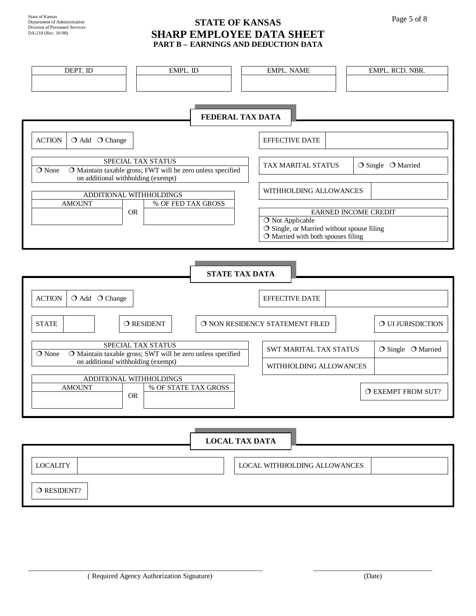## **STATE OF KANSAS** Page 5 of 8 **SHARP EMPLOYEE DATA SHEET PART B – EARNINGS AND DEDUCTION DATA**

| DEPT. ID                                              | EMPL. ID                                                                                 | <b>EMPL. NAME</b>               |                                                                                    | EMPL. RCD. NBR.             |  |  |  |
|-------------------------------------------------------|------------------------------------------------------------------------------------------|---------------------------------|------------------------------------------------------------------------------------|-----------------------------|--|--|--|
|                                                       |                                                                                          | FEDERAL TAX DATA                |                                                                                    |                             |  |  |  |
| <b>ACTION</b><br>O Add O Change                       |                                                                                          |                                 | <b>EFFECTIVE DATE</b>                                                              |                             |  |  |  |
| O None<br>on additional withholding (exempt)          | <b>SPECIAL TAX STATUS</b><br>O Maintain taxable gross; FWT will be zero unless specified |                                 | TAX MARITAL STATUS                                                                 | O Single O Married          |  |  |  |
| ADDITIONAL WITHHOLDINGS<br><b>AMOUNT</b><br><b>OR</b> | % OF FED TAX GROSS                                                                       |                                 | WITHHOLDING ALLOWANCES                                                             | <b>EARNED INCOME CREDIT</b> |  |  |  |
|                                                       |                                                                                          | O Not Applicable                | O Single, or Married without spouse filing<br>$O$ Married with both spouses filing |                             |  |  |  |
|                                                       | <b>STATE TAX DATA</b>                                                                    |                                 |                                                                                    |                             |  |  |  |
| <b>ACTION</b><br>O Add O Change                       |                                                                                          |                                 | <b>EFFECTIVE DATE</b>                                                              |                             |  |  |  |
| <b>STATE</b>                                          | O RESIDENT                                                                               | O NON RESIDENCY STATEMENT FILED |                                                                                    | O UI JURISDICTION           |  |  |  |
| O None<br>on additional withholding (exempt)          | SPECIAL TAX STATUS<br>O Maintain taxable gross; SWT will be zero unless specified        |                                 | SWT MARITAL TAX STATUS<br>WITHHOLDING ALLOWANCES                                   | O Single O Married          |  |  |  |
| ADDITIONAL WITHHOLDINGS<br><b>AMOUNT</b><br><b>OR</b> | % OF STATE TAX GROSS                                                                     |                                 |                                                                                    | O EXEMPT FROM SUT?          |  |  |  |
|                                                       |                                                                                          | <b>LOCAL TAX DATA</b>           |                                                                                    |                             |  |  |  |
| <b>LOCALITY</b>                                       |                                                                                          |                                 | <b>LOCAL WITHHOLDING ALLOWANCES</b>                                                |                             |  |  |  |
| O RESIDENT?                                           |                                                                                          |                                 |                                                                                    |                             |  |  |  |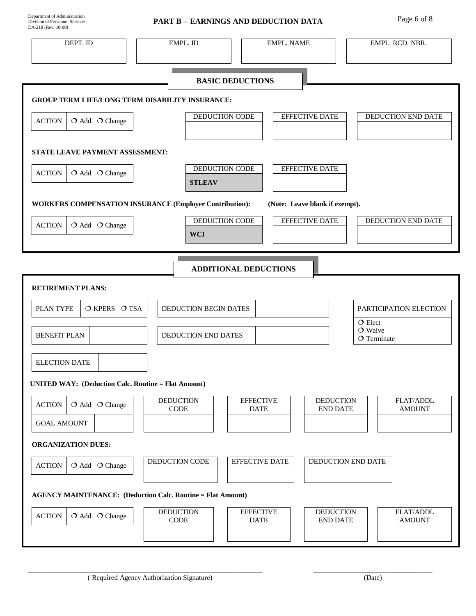# PART B – EARNINGS AND DEDUCTION DATA Page 6 of 8

| DEPT. ID                                                           | EMPL. ID                        | <b>EMPL. NAME</b>               | EMPL. RCD. NBR.                                                   |
|--------------------------------------------------------------------|---------------------------------|---------------------------------|-------------------------------------------------------------------|
|                                                                    |                                 |                                 |                                                                   |
|                                                                    |                                 | <b>BASIC DEDUCTIONS</b>         |                                                                   |
| <b>GROUP TERM LIFE/LONG TERM DISABILITY INSURANCE:</b>             |                                 |                                 |                                                                   |
| <b>ACTION</b><br>$O$ Add $O$ Change                                | DEDUCTION CODE                  | <b>EFFECTIVE DATE</b>           | DEDUCTION END DATE                                                |
|                                                                    |                                 |                                 |                                                                   |
| STATE LEAVE PAYMENT ASSESSMENT:                                    |                                 |                                 |                                                                   |
| <b>ACTION</b><br>O Add O Change                                    | DEDUCTION CODE<br><b>STLEAV</b> | EFFECTIVE DATE                  |                                                                   |
| <b>WORKERS COMPENSATION INSURANCE (Employer Contribution):</b>     |                                 | (Note: Leave blank if exempt).  |                                                                   |
|                                                                    | DEDUCTION CODE                  | EFFECTIVE DATE                  | DEDUCTION END DATE                                                |
| O Add O Change<br><b>ACTION</b>                                    | <b>WCI</b>                      |                                 |                                                                   |
|                                                                    |                                 |                                 |                                                                   |
|                                                                    |                                 | <b>ADDITIONAL DEDUCTIONS</b>    |                                                                   |
| <b>RETIREMENT PLANS:</b>                                           |                                 |                                 |                                                                   |
| PLAN TYPE<br>O KPERS O TSA                                         | DEDUCTION BEGIN DATES           |                                 | PARTICIPATION ELECTION                                            |
| <b>BENEFIT PLAN</b>                                                | DEDUCTION END DATES             |                                 | $O$ Elect<br>$\bigcirc$ Waive                                     |
|                                                                    |                                 |                                 | $O$ Terminate                                                     |
| <b>ELECTION DATE</b>                                               |                                 |                                 |                                                                   |
| <b>UNITED WAY: (Deduction Calc. Routine = Flat Amount)</b>         |                                 |                                 |                                                                   |
| <b>ACTION</b><br>$O$ Add $O$ Change                                | <b>DEDUCTION</b><br>CODE        | <b>EFFECTIVE</b><br><b>DATE</b> | <b>DEDUCTION</b><br>FLAT/ADDL<br><b>END DATE</b><br><b>AMOUNT</b> |
| <b>GOAL AMOUNT</b>                                                 |                                 |                                 |                                                                   |
| <b>ORGANIZATION DUES:</b>                                          |                                 |                                 |                                                                   |
| <b>ACTION</b><br>O Add O Change                                    | DEDUCTION CODE                  | <b>EFFECTIVE DATE</b>           | DEDUCTION END DATE                                                |
| <b>AGENCY MAINTENANCE: (Deduction Calc. Routine = Flat Amount)</b> |                                 |                                 |                                                                   |
| <b>ACTION</b><br>O Add O Change                                    | <b>DEDUCTION</b><br><b>CODE</b> | <b>EFFECTIVE</b><br><b>DATE</b> | FLAT/ADDL<br><b>DEDUCTION</b><br><b>AMOUNT</b><br><b>END DATE</b> |
|                                                                    |                                 |                                 |                                                                   |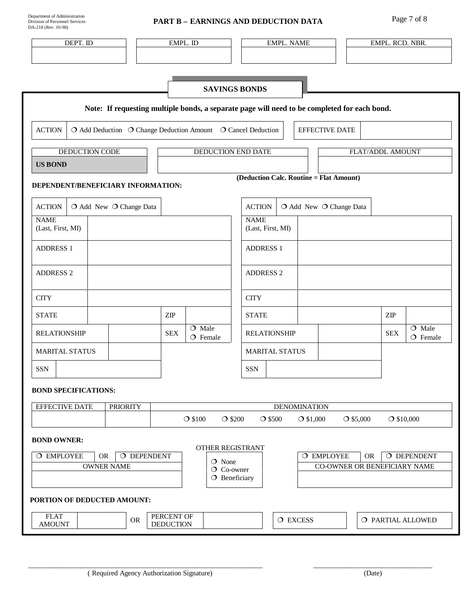| Department of Administration   |  |  |  |  |
|--------------------------------|--|--|--|--|
| Division of Personnel Services |  |  |  |  |
| DA-218 (Rev. 10-98)            |  |  |  |  |

# **PART B – EARNINGS AND DEDUCTION DATA** Page 7 of 8

| DEPT. ID                                                                                                                                                                                      | EMPL. ID                             | <b>EMPL. NAME</b>                                                                            | EMPL. RCD. NBR.                                 |  |  |  |  |
|-----------------------------------------------------------------------------------------------------------------------------------------------------------------------------------------------|--------------------------------------|----------------------------------------------------------------------------------------------|-------------------------------------------------|--|--|--|--|
|                                                                                                                                                                                               |                                      |                                                                                              |                                                 |  |  |  |  |
|                                                                                                                                                                                               |                                      |                                                                                              |                                                 |  |  |  |  |
|                                                                                                                                                                                               |                                      | <b>SAVINGS BONDS</b>                                                                         |                                                 |  |  |  |  |
|                                                                                                                                                                                               |                                      | Note: If requesting multiple bonds, a separate page will need to be completed for each bond. |                                                 |  |  |  |  |
| <b>ACTION</b><br>O Add Deduction O Change Deduction Amount O Cancel Deduction<br><b>EFFECTIVE DATE</b>                                                                                        |                                      |                                                                                              |                                                 |  |  |  |  |
| <b>DEDUCTION CODE</b>                                                                                                                                                                         | DEDUCTION END DATE                   |                                                                                              | FLAT/ADDL AMOUNT                                |  |  |  |  |
| <b>US BOND</b>                                                                                                                                                                                |                                      |                                                                                              |                                                 |  |  |  |  |
| DEPENDENT/BENEFICIARY INFORMATION:                                                                                                                                                            |                                      | (Deduction Calc. Routine = Flat Amount)                                                      |                                                 |  |  |  |  |
| <b>ACTION</b><br>O Add New O Change Data                                                                                                                                                      |                                      | <b>ACTION</b><br>O Add New O Change Data                                                     |                                                 |  |  |  |  |
| <b>NAME</b><br>(Last, First, MI)                                                                                                                                                              |                                      | <b>NAME</b><br>(Last, First, MI)                                                             |                                                 |  |  |  |  |
| <b>ADDRESS 1</b>                                                                                                                                                                              |                                      | <b>ADDRESS 1</b>                                                                             |                                                 |  |  |  |  |
| <b>ADDRESS 2</b>                                                                                                                                                                              |                                      | <b>ADDRESS 2</b>                                                                             |                                                 |  |  |  |  |
| <b>CITY</b>                                                                                                                                                                                   |                                      | <b>CITY</b>                                                                                  |                                                 |  |  |  |  |
| <b>STATE</b>                                                                                                                                                                                  | $\ensuremath{\mathrm{ZIP}}$          | <b>STATE</b>                                                                                 | ZIP                                             |  |  |  |  |
| <b>RELATIONSHIP</b>                                                                                                                                                                           | $O$ Male<br><b>SEX</b><br>$O$ Female | <b>RELATIONSHIP</b>                                                                          | $\overline{O}$ Male<br><b>SEX</b><br>$O$ Female |  |  |  |  |
| MARITAL STATUS                                                                                                                                                                                |                                      | <b>MARITAL STATUS</b>                                                                        |                                                 |  |  |  |  |
| <b>SSN</b>                                                                                                                                                                                    |                                      | <b>SSN</b>                                                                                   |                                                 |  |  |  |  |
| <b>BOND SPECIFICATIONS:</b>                                                                                                                                                                   |                                      |                                                                                              |                                                 |  |  |  |  |
| <b>EFFECTIVE DATE</b><br><b>PRIORITY</b>                                                                                                                                                      |                                      | <b>DENOMINATION</b>                                                                          |                                                 |  |  |  |  |
|                                                                                                                                                                                               | $\bigcirc$ \$100<br>$\bigcirc$ \$200 | $O$ \$500<br>$O$ \$1,000                                                                     | $O$ \$5,000<br>$O$ \$10,000                     |  |  |  |  |
| <b>BOND OWNER:</b><br>OTHER REGISTRANT                                                                                                                                                        |                                      |                                                                                              |                                                 |  |  |  |  |
| O DEPENDENT<br>O EMPLOYEE<br>O DEPENDENT<br>O EMPLOYEE<br><b>OR</b><br><b>OR</b><br>O None<br><b>OWNER NAME</b><br>CO-OWNER OR BENEFICIARY NAME<br>$\overline{O}$ Co-owner<br>$O$ Beneficiary |                                      |                                                                                              |                                                 |  |  |  |  |
|                                                                                                                                                                                               |                                      |                                                                                              |                                                 |  |  |  |  |
| PORTION OF DEDUCTED AMOUNT:                                                                                                                                                                   |                                      |                                                                                              |                                                 |  |  |  |  |
| <b>FLAT</b><br><b>OR</b><br><b>AMOUNT</b>                                                                                                                                                     | PERCENT OF<br><b>DEDUCTION</b>       | O EXCESS                                                                                     | O PARTIAL ALLOWED                               |  |  |  |  |